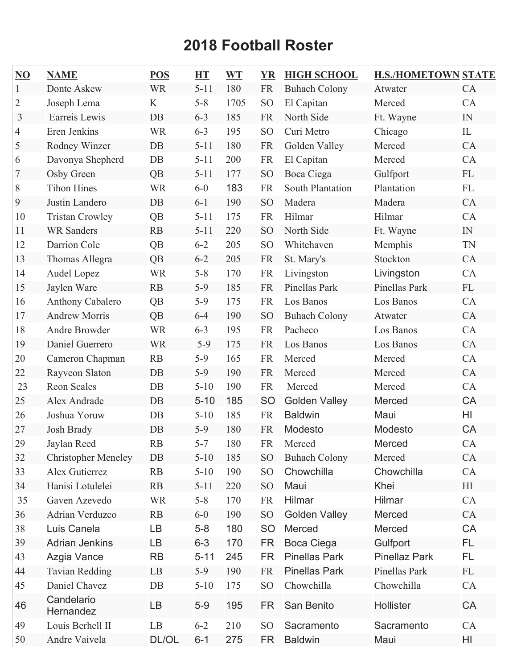## **2018 Football Roster**

| $\underline{\mathrm{NO}}$ | <b>NAME</b>                | <b>POS</b> | <b>HT</b> | <b>WT</b> | <b>YR</b>       | <b>HIGH SCHOOL</b>   | <b>H.S./HOMETOWN STATE</b> |              |
|---------------------------|----------------------------|------------|-----------|-----------|-----------------|----------------------|----------------------------|--------------|
| 1                         | Donte Askew                | <b>WR</b>  | $5 - 11$  | 180       | <b>FR</b>       | <b>Buhach Colony</b> | Atwater                    | CA           |
| 2                         | Joseph Lema                | K          | $5 - 8$   | 1705      | S <sub>O</sub>  | El Capitan           | Merced                     | CA           |
| 3                         | Earreis Lewis              | DB         | $6 - 3$   | 185       | <b>FR</b>       | North Side           | Ft. Wayne                  | IN           |
| 4                         | Eren Jenkins               | <b>WR</b>  | $6 - 3$   | 195       | SO <sub>1</sub> | Curi Metro           | Chicago                    | $\mathbf{L}$ |
| 5                         | Rodney Winzer              | DB         | $5 - 11$  | 180       | <b>FR</b>       | Golden Valley        | Merced                     | CA           |
| 6                         | Davonya Shepherd           | DB         | $5 - 11$  | 200       | <b>FR</b>       | El Capitan           | Merced                     | CA           |
| 7                         | Osby Green                 | QB         | $5 - 11$  | 177       | SO <sub>1</sub> | Boca Ciega           | Gulfport                   | FL           |
| 8                         | <b>Tihon Hines</b>         | <b>WR</b>  | $6-0$     | 183       | <b>FR</b>       | South Plantation     | Plantation                 | FL           |
| 9                         | Justin Landero             | DB         | $6 - 1$   | 190       | SO <sub>1</sub> | Madera               | Madera                     | CA           |
| 10                        | <b>Tristan Crowley</b>     | QB         | $5 - 11$  | 175       | <b>FR</b>       | Hilmar               | Hilmar                     | CA           |
| 11                        | <b>WR Sanders</b>          | RB         | $5 - 11$  | 220       | SO <sub>1</sub> | North Side           | Ft. Wayne                  | IN           |
| 12                        | Darrion Cole               | QB         | $6 - 2$   | 205       | S <sub>O</sub>  | Whitehaven           | Memphis                    | TN           |
| 13                        | Thomas Allegra             | QB         | $6 - 2$   | 205       | <b>FR</b>       | St. Mary's           | Stockton                   | CA           |
| 14                        | Audel Lopez                | <b>WR</b>  | $5 - 8$   | 170       | <b>FR</b>       | Livingston           | Livingston                 | CA           |
| 15                        | Jaylen Ware                | RB         | $5-9$     | 185       | <b>FR</b>       | <b>Pinellas Park</b> | Pinellas Park              | FL           |
| 16                        | <b>Anthony Cabalero</b>    | QB         | $5-9$     | 175       | <b>FR</b>       | Los Banos            | Los Banos                  | CA           |
| 17                        | <b>Andrew Morris</b>       | QB         | $6 - 4$   | 190       | SO <sub>1</sub> | <b>Buhach Colony</b> | Atwater                    | CA           |
| 18                        | Andre Browder              | <b>WR</b>  | $6 - 3$   | 195       | <b>FR</b>       | Pacheco              | Los Banos                  | CA           |
| 19                        | Daniel Guerrero            | <b>WR</b>  | $5-9$     | 175       | <b>FR</b>       | Los Banos            | Los Banos                  | CA           |
| 20                        | Cameron Chapman            | RB         | $5-9$     | 165       | <b>FR</b>       | Merced               | Merced                     | CA           |
| 22                        | Rayveon Slaton             | <b>DB</b>  | $5-9$     | 190       | <b>FR</b>       | Merced               | Merced                     | CA           |
| 23                        | <b>Reon Scales</b>         | DB         | $5 - 10$  | 190       | <b>FR</b>       | Merced               | Merced                     | CA           |
| 25                        | Alex Andrade               | DB         | $5 - 10$  | 185       | <b>SO</b>       | <b>Golden Valley</b> | <b>Merced</b>              | CA           |
| 26                        | Joshua Yoruw               | DB         | $5 - 10$  | 185       | <b>FR</b>       | <b>Baldwin</b>       | Maui                       | HI           |
| 27                        | Josh Brady                 | DB         | $5-9$     | 180       | <b>FR</b>       | Modesto              | Modesto                    | CA           |
| 29                        | Jaylan Reed                | <b>RB</b>  | $5 - 7$   | 180       | <b>FR</b>       | Merced               | Merced                     | CA           |
| 32                        | <b>Christopher Meneley</b> | DB         | $5 - 10$  | 185       | SO <sub>1</sub> | <b>Buhach Colony</b> | Merced                     | CA           |
| 33                        | Alex Gutierrez             | RB         | $5 - 10$  | 190       | SO <sub>1</sub> | Chowchilla           | Chowchilla                 | CA           |
| 34                        | Hanisi Lotulelei           | RB         | $5 - 11$  | 220       | SO <sub>1</sub> | Maui                 | Khei                       | H            |
| 35                        | Gaven Azevedo              | <b>WR</b>  | $5 - 8$   | 170       | <b>FR</b>       | Hilmar               | Hilmar                     | CA           |
| 36                        | Adrian Verduzco            | RB         | $6 - 0$   | 190       | SO <sub>1</sub> | <b>Golden Valley</b> | Merced                     | CA           |
| 38                        | Luis Canela                | LВ         | $5 - 8$   | 180       | <b>SO</b>       | Merced               | Merced                     | CA           |
| 39                        | <b>Adrian Jenkins</b>      | LВ         | $6 - 3$   | 170       | <b>FR</b>       | Boca Ciega           | Gulfport                   | FL           |
| 43                        | Azgia Vance                | <b>RB</b>  | $5 - 11$  | 245       | <b>FR</b>       | <b>Pinellas Park</b> | <b>Pinellaz Park</b>       | <b>FL</b>    |
| 44                        | <b>Tavian Redding</b>      | LB         | $5-9$     | 190       | <b>FR</b>       | <b>Pinellas Park</b> | Pinellas Park              | FL           |
| 45                        | Daniel Chavez              | $DB$       | $5 - 10$  | 175       | SO <sub>1</sub> | Chowchilla           | Chowchilla                 | CA           |
| 46                        | Candelario<br>Hernandez    | LВ         | $5-9$     | 195       | FR              | San Benito           | Hollister                  | CA           |
| 49                        | Louis Berhell II           | LB         | $6 - 2$   | 210       | SO <sub>1</sub> | Sacramento           | Sacramento                 | CA           |
| 50                        | Andre Vaivela              | DL/OL      | $6 - 1$   | 275       | <b>FR</b>       | <b>Baldwin</b>       | Maui                       | HI           |